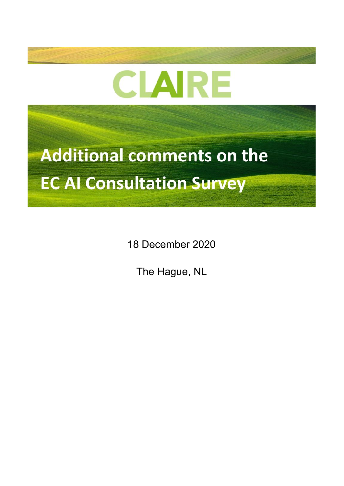## **CLAIRE**

**Additional comments on the EC AI Consultation Survey** 

18 December 2020

The Hague, NL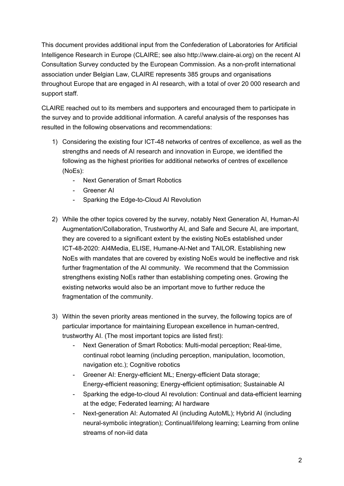This document provides additional input from the Confederation of Laboratories for Artificial Intelligence Research in Europe (CLAIRE; see also http://www.claire-ai.org) on the recent AI Consultation Survey conducted by the European Commission. As a non-profit international association under Belgian Law, CLAIRE represents 385 groups and organisations throughout Europe that are engaged in AI research, with a total of over 20 000 research and support staff.

CLAIRE reached out to its members and supporters and encouraged them to participate in the survey and to provide additional information. A careful analysis of the responses has resulted in the following observations and recommendations:

- 1) Considering the existing four ICT-48 networks of centres of excellence, as well as the strengths and needs of AI research and innovation in Europe, we identified the following as the highest priorities for additional networks of centres of excellence (NoEs):
	- Next Generation of Smart Robotics
	- Greener AI
	- Sparking the Edge-to-Cloud AI Revolution
- 2) While the other topics covered by the survey, notably Next Generation AI, Human-AI Augmentation/Collaboration, Trustworthy AI, and Safe and Secure AI, are important, they are covered to a significant extent by the existing NoEs established under ICT-48-2020: AI4Media, ELISE, Humane-AI-Net and TAILOR. Establishing new NoEs with mandates that are covered by existing NoEs would be ineffective and risk further fragmentation of the AI community. We recommend that the Commission strengthens existing NoEs rather than establishing competing ones. Growing the existing networks would also be an important move to further reduce the fragmentation of the community.
- 3) Within the seven priority areas mentioned in the survey, the following topics are of particular importance for maintaining European excellence in human-centred, trustworthy AI. (The most important topics are listed first):
	- Next Generation of Smart Robotics: Multi-modal perception; Real-time, continual robot learning (including perception, manipulation, locomotion, navigation etc.); Cognitive robotics
	- Greener AI: Energy-efficient ML; Energy-efficient Data storage; Energy-efficient reasoning; Energy-efficient optimisation; Sustainable AI
	- Sparking the edge-to-cloud AI revolution: Continual and data-efficient learning at the edge; Federated learning; AI hardware
	- Next-generation AI: Automated AI (including AutoML); Hybrid AI (including neural-symbolic integration); Continual/lifelong learning; Learning from online streams of non-iid data